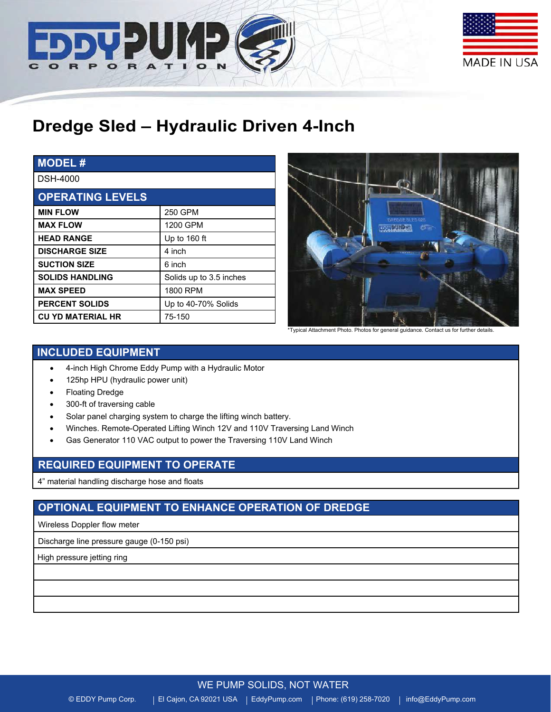



# **Dredge Sled – Hydraulic Driven 4-Inch**

| <b>MODEL#</b>            |                         |
|--------------------------|-------------------------|
| <b>DSH-4000</b>          |                         |
| <b>OPERATING LEVELS</b>  |                         |
| <b>MIN FLOW</b>          | 250 GPM                 |
| <b>MAX FLOW</b>          | 1200 GPM                |
| <b>HEAD RANGE</b>        | Up to 160 ft            |
| <b>DISCHARGE SIZE</b>    | 4 inch                  |
| <b>SUCTION SIZE</b>      | 6 inch                  |
| <b>SOLIDS HANDLING</b>   | Solids up to 3.5 inches |
| <b>MAX SPEED</b>         | 1800 RPM                |
| <b>PERCENT SOLIDS</b>    | Up to 40-70% Solids     |
| <b>CU YD MATERIAL HR</b> | 75-150                  |



\*Typical Attachment Photo. Photos for general guidance. Contact us for further details.

# **INCLUDED EQUIPMENT**

- 4-inch High Chrome Eddy Pump with a Hydraulic Motor
- 125hp HPU (hydraulic power unit)
- Floating Dredge
- 300-ft of traversing cable
- Solar panel charging system to charge the lifting winch battery.
- Winches. Remote-Operated Lifting Winch 12V and 110V Traversing Land Winch
- Gas Generator 110 VAC output to power the Traversing 110V Land Winch

## **REQUIRED EQUIPMENT TO OPERATE**

4" material handling discharge hose and floats

# **OPTIONAL EQUIPMENT TO ENHANCE OPERATION OF DREDGE**

Wireless Doppler flow meter

Discharge line pressure gauge (0-150 psi)

High pressure jetting ring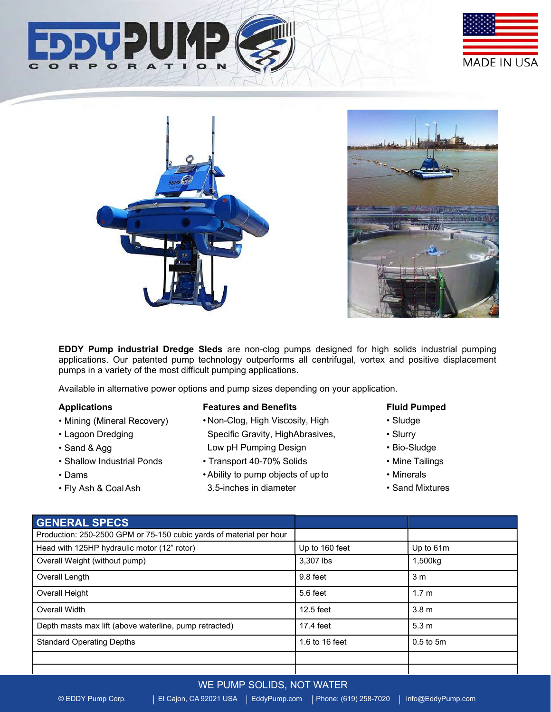





**EDDY Pump industrial Dredge Sleds** are non-clog pumps designed for high solids industrial pumping applications. Our patented pump technology outperforms all centrifugal, vortex and positive displacement pumps in a variety of the most difficult pumping applications.

Available in alternative power options and pump sizes depending on your application.

#### **Applications**

- Mining (Mineral Recovery)
- Lagoon Dredging
- Sand & Agg
- Shallow Industrial Ponds
- Dams
- Fly Ash & CoalAsh

#### **Features and Benefits**

- Non-Clog, High Viscosity, High Specific Gravity, HighAbrasives, Low pH Pumping Design
- Transport 40-70% Solids
- •Ability to pump objects of upto 3.5-inches in diameter

#### **Fluid Pumped**

- Sludge
- Slurry
- Bio-Sludge
- Mine Tailings
- Minerals
- Sand Mixtures

| <b>GENERAL SPECS</b>                                                |                |                  |
|---------------------------------------------------------------------|----------------|------------------|
| Production: 250-2500 GPM or 75-150 cubic yards of material per hour |                |                  |
| Head with 125HP hydraulic motor (12" rotor)                         | Up to 160 feet | Up to 61m        |
| Overall Weight (without pump)                                       | 3.307 lbs      | 1,500kg          |
| Overall Length                                                      | 9.8 feet       | 3 m              |
| Overall Height                                                      | 5.6 feet       | 1.7 <sub>m</sub> |
| Overall Width                                                       | 12.5 feet      | 3.8 <sub>m</sub> |
| Depth masts max lift (above waterline, pump retracted)              | 17.4 feet      | 5.3 <sub>m</sub> |
| <b>Standard Operating Depths</b>                                    | 1.6 to 16 feet | $0.5$ to $5m$    |
|                                                                     |                |                  |
|                                                                     |                |                  |